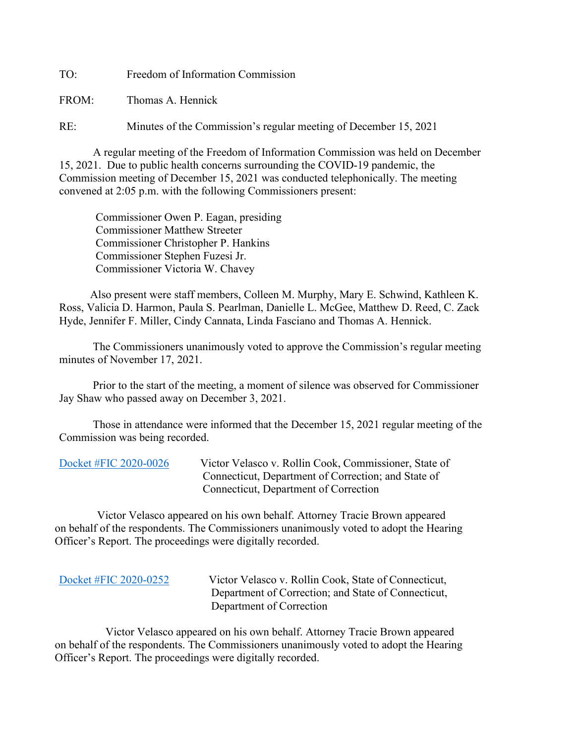TO: Freedom of Information Commission

FROM: Thomas A. Hennick

RE: Minutes of the Commission's regular meeting of December 15, 2021

A regular meeting of the Freedom of Information Commission was held on December 15, 2021. Due to public health concerns surrounding the COVID-19 pandemic, the Commission meeting of December 15, 2021 was conducted telephonically. The meeting convened at 2:05 p.m. with the following Commissioners present:

 Commissioner Owen P. Eagan, presiding Commissioner Matthew Streeter Commissioner Christopher P. Hankins Commissioner Stephen Fuzesi Jr. Commissioner Victoria W. Chavey

 Also present were staff members, Colleen M. Murphy, Mary E. Schwind, Kathleen K. Ross, Valicia D. Harmon, Paula S. Pearlman, Danielle L. McGee, Matthew D. Reed, C. Zack Hyde, Jennifer F. Miller, Cindy Cannata, Linda Fasciano and Thomas A. Hennick.

The Commissioners unanimously voted to approve the Commission's regular meeting minutes of November 17, 2021.

 Prior to the start of the meeting, a moment of silence was observed for Commissioner Jay Shaw who passed away on December 3, 2021.

 Those in attendance were informed that the December 15, 2021 regular meeting of the Commission was being recorded.

[Docket #FIC 2020-0026](https://portal.ct.gov/-/media/FOI/FinalDecisions/2021/Dec15/2020-0026.pdf) Victor Velasco v. Rollin Cook, Commissioner, State of Connecticut, Department of Correction; and State of Connecticut, Department of Correction

 Victor Velasco appeared on his own behalf. Attorney Tracie Brown appeared on behalf of the respondents. The Commissioners unanimously voted to adopt the Hearing Officer's Report. The proceedings were digitally recorded.

[Docket #FIC 2020-0252](https://portal.ct.gov/-/media/FOI/FinalDecisions/2021/Dec15/2020-0252.pdf) Victor Velasco v. Rollin Cook, State of Connecticut, Department of Correction; and State of Connecticut, Department of Correction

 Victor Velasco appeared on his own behalf. Attorney Tracie Brown appeared on behalf of the respondents. The Commissioners unanimously voted to adopt the Hearing Officer's Report. The proceedings were digitally recorded.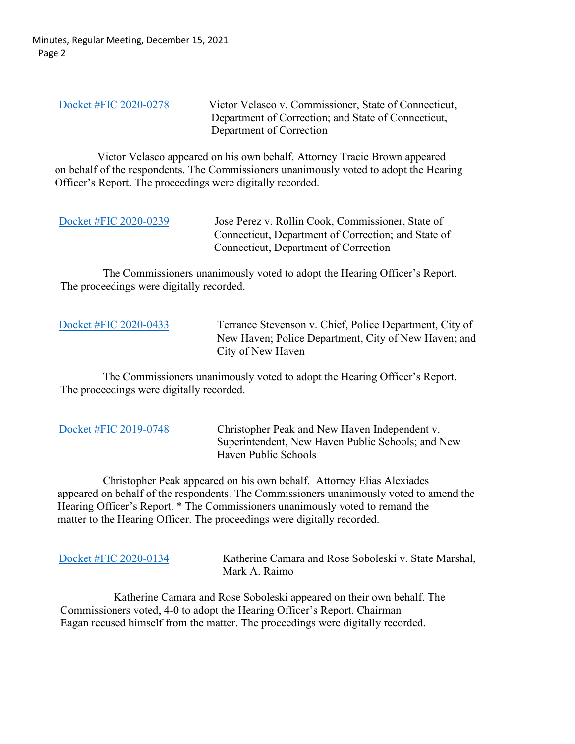Minutes, Regular Meeting, December 15, 2021 Page 2

[Docket #FIC 2020-0278](https://portal.ct.gov/-/media/FOI/FinalDecisions/2021/Dec15/2020-0278.pdf) Victor Velasco v. Commissioner, State of Connecticut, Department of Correction; and State of Connecticut, Department of Correction

 Victor Velasco appeared on his own behalf. Attorney Tracie Brown appeared on behalf of the respondents. The Commissioners unanimously voted to adopt the Hearing Officer's Report. The proceedings were digitally recorded.

| Docket #FIC 2020-0239 | Jose Perez v. Rollin Cook, Commissioner, State of   |
|-----------------------|-----------------------------------------------------|
|                       | Connecticut, Department of Correction; and State of |
|                       | Connecticut, Department of Correction               |

 The Commissioners unanimously voted to adopt the Hearing Officer's Report. The proceedings were digitally recorded.

[Docket #FIC 2020-0433](https://portal.ct.gov/-/media/FOI/FinalDecisions/2021/Dec15/2020-0433.pdf) Terrance Stevenson v. Chief, Police Department, City of New Haven; Police Department, City of New Haven; and City of New Haven

 The Commissioners unanimously voted to adopt the Hearing Officer's Report. The proceedings were digitally recorded.

| Docket #FIC 2019-0748 |
|-----------------------|
|-----------------------|

Christopher Peak and New Haven Independent v. Superintendent, New Haven Public Schools; and New Haven Public Schools

State Marshal,

 Christopher Peak appeared on his own behalf. Attorney Elias Alexiades appeared on behalf of the respondents. The Commissioners unanimously voted to amend the Hearing Officer's Report. \* The Commissioners unanimously voted to remand the matter to the Hearing Officer. The proceedings were digitally recorded.

| Docket #FIC 2020-0134 | Katherine Camara and Rose Soboleski v.<br>Mark A. Raimo |
|-----------------------|---------------------------------------------------------|
|                       |                                                         |

 Katherine Camara and Rose Soboleski appeared on their own behalf. The Commissioners voted, 4-0 to adopt the Hearing Officer's Report. Chairman Eagan recused himself from the matter. The proceedings were digitally recorded.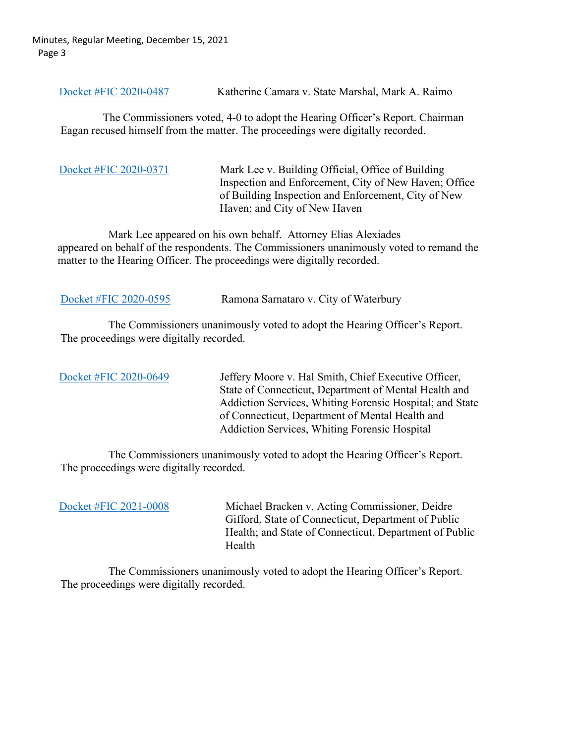Minutes, Regular Meeting, December 15, 2021 Page 3

[Docket #FIC 2020-0487](https://portal.ct.gov/-/media/FOI/FinalDecisions/2021/Dec15/2020-0487.pdf) Katherine Camara v. State Marshal, Mark A. Raimo

 The Commissioners voted, 4-0 to adopt the Hearing Officer's Report. Chairman Eagan recused himself from the matter. The proceedings were digitally recorded.

[Docket #FIC 2020-0371](https://portal.ct.gov/-/media/FOI/FinalDecisions/2021/Dec15/2020-0371.pdf) Mark Lee v. Building Official, Office of Building Inspection and Enforcement, City of New Haven; Office of Building Inspection and Enforcement, City of New Haven; and City of New Haven

 Mark Lee appeared on his own behalf. Attorney Elias Alexiades appeared on behalf of the respondents. The Commissioners unanimously voted to remand the matter to the Hearing Officer. The proceedings were digitally recorded.

[Docket #FIC 2020-0595](https://portal.ct.gov/-/media/FOI/FinalDecisions/2021/Dec15/2020-0595.pdf) Ramona Sarnataro v. City of Waterbury

 The Commissioners unanimously voted to adopt the Hearing Officer's Report. The proceedings were digitally recorded.

[Docket #FIC 2020-0649](https://portal.ct.gov/-/media/FOI/FinalDecisions/2021/Dec15/2020-0649.pdf) Jeffery Moore v. Hal Smith, Chief Executive Officer, State of Connecticut, Department of Mental Health and Addiction Services, Whiting Forensic Hospital; and State of Connecticut, Department of Mental Health and Addiction Services, Whiting Forensic Hospital

 The Commissioners unanimously voted to adopt the Hearing Officer's Report. The proceedings were digitally recorded.

[Docket #FIC 2021-0008](https://portal.ct.gov/-/media/FOI/FinalDecisions/2021/Dec15/2021-0008.pdf) Michael Bracken v. Acting Commissioner, Deidre Gifford, State of Connecticut, Department of Public Health; and State of Connecticut, Department of Public Health

 The Commissioners unanimously voted to adopt the Hearing Officer's Report. The proceedings were digitally recorded.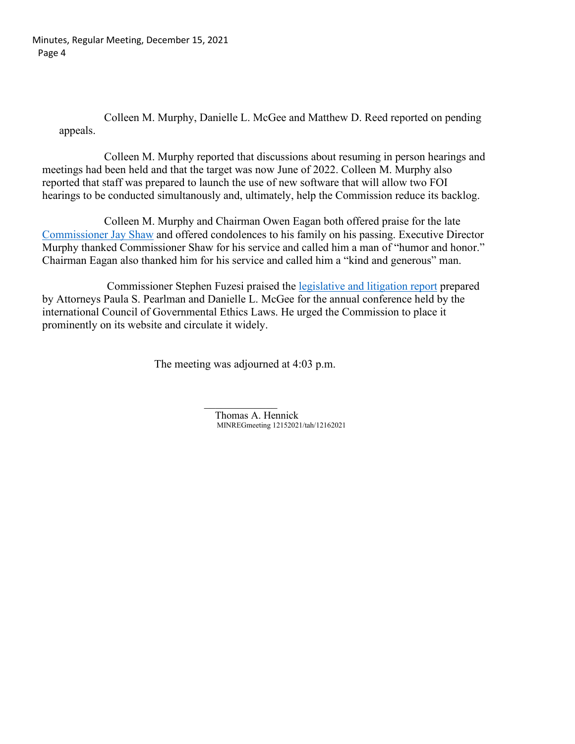Minutes, Regular Meeting, December 15, 2021 Page 4

> Colleen M. Murphy, Danielle L. McGee and Matthew D. Reed reported on pending appeals.

 Colleen M. Murphy reported that discussions about resuming in person hearings and meetings had been held and that the target was now June of 2022. Colleen M. Murphy also reported that staff was prepared to launch the use of new software that will allow two FOI hearings to be conducted simultanously and, ultimately, help the Commission reduce its backlog.

 Colleen M. Murphy and Chairman Owen Eagan both offered praise for the late [Commissioner Jay Shaw](https://www.legacy.com/us/obituaries/stamfordadvocate/name/jay-shaw-obituary?id=31754425) and offered condolences to his family on his passing. Executive Director Murphy thanked Commissioner Shaw for his service and called him a man of "humor and honor." Chairman Eagan also thanked him for his service and called him a "kind and generous" man.

 Commissioner Stephen Fuzesi praised the [legislative and litigation report](https://portal.ct.gov/-/media/FOI/Cogel/2021-COGEL-Report.pdf) prepared by Attorneys Paula S. Pearlman and Danielle L. McGee for the annual conference held by the international Council of Governmental Ethics Laws. He urged the Commission to place it prominently on its website and circulate it widely.

The meeting was adjourned at 4:03 p.m.

 $\mathcal{L}_\text{max}$  and  $\mathcal{L}_\text{max}$  are the set of the set of the set of the set of the set of the set of the set of the set of the set of the set of the set of the set of the set of the set of the set of the set of the set o Thomas A. Hennick MINREGmeeting 12152021/tah/12162021